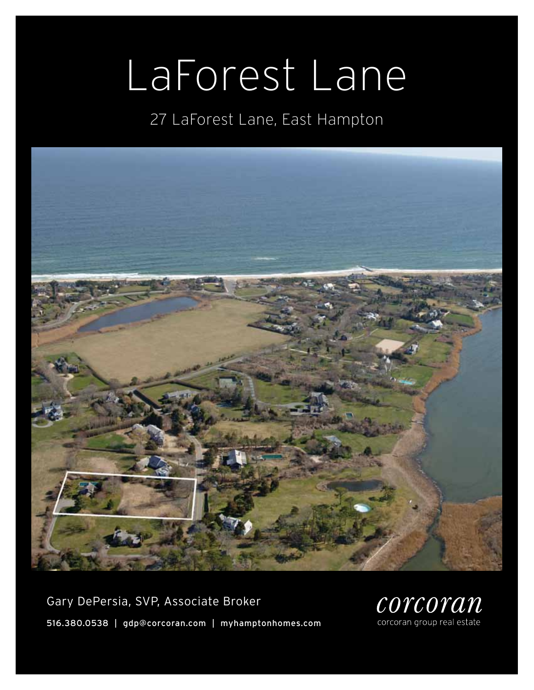# LaForest Lane

# 27 LaForest Lane, East Hampton



Gary DePersia, SVP, Associate Broker 516.380.0538 | gdp@corcoran.com | myhamptonhomes.com

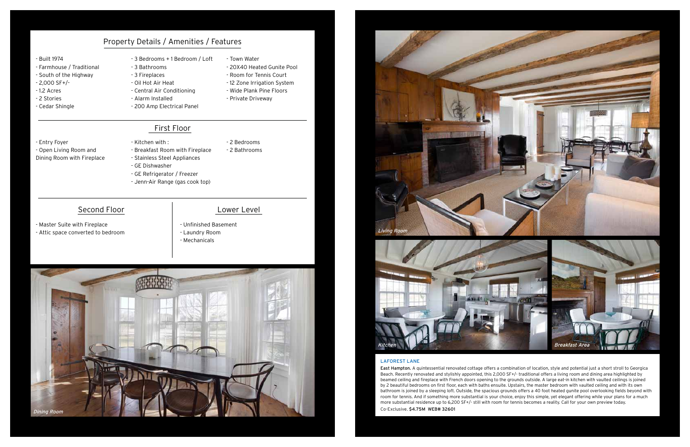### LaFOrest lane

East Hampton. A quintessential renovated cottage offers a combination of location, style and potential just a short stroll to Georgica Beach. Recently renovated and stylishly appointed, this 2,000 SF+/- traditional offers a living room and dining area highlighted by beamed ceiling and fireplace with French doors opening to the grounds outside. A large eat-in kitchen with vaulted ceilings is joined by 2 beautiful bedrooms on first floor, each with baths ensuite. Upstairs, the master bedroom with vaulted ceiling and with its own bathroom is joined by a sleeping loft. Outside, the spacious grounds offers a 40 foot heated gunite pool overlooking fields beyond with room for tennis. And if something more substantial is your choice, enjoy this simple, yet elegant offering while your plans for a much more substantial residence up to 6,200 SF+/- still with room for tennis becomes a reality. Call for your own preview today. Co-Exclusive. \$4.75M WEB# 32601

### - Built 1974

- Farmhouse / Traditional
- South of the Highway
- 2,000 SF+/-
- 1.2 Acres
- 2 Stories
- Cedar Shingle
- 3 Bedrooms + 1 Bedroom / Loft
- 3 Bathrooms
- 3 Fireplaces
- Oil Hot Air Heat - Central Air Conditioning
- Alarm Installed
- 200 Amp Electrical Panel
- Town Water
- 20X40 Heated Gunite Pool
- Room for Tennis Court
- 12 Zone Irrigation System
- Wide Plank Pine Floors
- Private Driveway

- Entry Foyer
- Open Living Room and Dining Room with Fireplace
- Kitchen with : - Breakfast Room with Fireplace
- 2 Bedrooms - 2 Bathrooms
- Stainless Steel Appliances
- GE Dishwasher
- GE Refrigerator / Freezer
- Jenn-Air Range (gas cook top)

### Second Floor and Lower Level

- Master Suite with Fireplace
- Attic space converted to bedroom

- Unfinished Basement - Laundry Room - Mechanicals

# Property Details / Amenities / Features

## First Floor





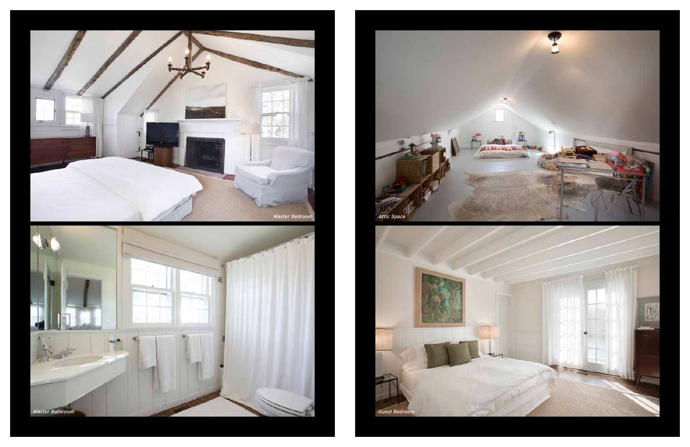





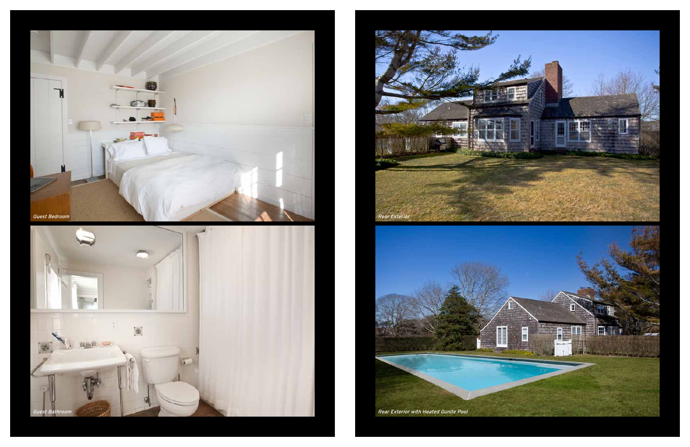